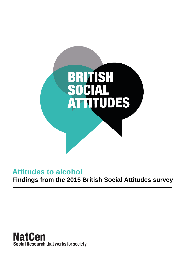

# **Attitudes to alcohol**

**Findings from the 2015 British Social Attitudes survey**

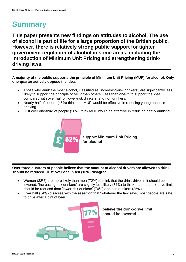# **Summary**

**This paper presents new findings on attitudes to alcohol. The use of alcohol is part of life for a large proportion of the British public. However, there is relatively strong public support for tighter government regulation of alcohol in some areas, including the introduction of Minimum Unit Pricing and strengthening drinkdriving laws.** 

**A majority of the public supports the principle of Minimum Unit Pricing (MUP) for alcohol. Only one-quarter actively oppose the idea.** 

- Those who drink the most alcohol, classified as 'increasing-risk drinkers', are significantly less likely to support the principle of MUP than others. Less than one-third support the idea, compared with over half of 'lower-risk drinkers' and non drinkers.
- Nearly half of people (46%) think that MUP would be effective in reducing young people's drinking.
- Just over one-third of people (36%) think MUP would be effective in reducing heavy drinking.



support Minimum Unit Pricing for alcohol

**Over three-quarters of people believe that the amount of alcohol drivers are allowed to drink should be reduced. Just over one in ten (10%) disagree.**

- Women (82%) are more likely than men (72%) to think that the drink-drive limit should be lowered. 'Increasing-risk drinkers' are slightly less likely (71%) to think that the drink-drive limit should be reduced than 'lower-risk drinkers' (76%) and non drinkers (85%).
- Over half (54%) disagree with the assertion that "whatever the law says, most people are safe to drive after a pint of beer".



believe the drink-drive limit should be lowered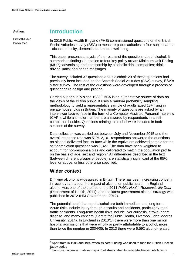#### **Authors**

Elizabeth Fuller Ian Simpson

## **Introduction**

In 2015 Public Health England (PHE) commissioned questions on the British Social Attitudes survey (BSA) to measure public attitudes to four subject areas - alcohol, obesity, dementia and mental wellbeing.

This paper presents analysis of the results of the questions about alcohol. It summarises findings in relation to four key policy areas: Minimum Unit Pricing (MUP); advertising and sponsorship by alcoholic drink companies; drinkdriving limits; and health messages.

The survey included 37 questions about alcohol; 20 of these questions had previously been included on the Scottish Social Attitudes (SSA) survey, BSA's sister survey. The rest of the questions were developed through a process of questionnaire design and piloting.

Carried out annually since 1983,<sup>1</sup> BSA is an authoritative source of data on the views of the British public. It uses a random probability sampling methodology to yield a representative sample of adults aged 18+ living in private households in Britain. The majority of questions are asked by an interviewer face-to-face in the form of a Computer Assisted Personal Interview (CAPI), while a smaller number are answered by respondents in a selfcompletion booklet. Questions relating to alcohol were included in both sections of the survey.

Data collection was carried out between July and November 2015 and the overall response rate was 51%. 2,161 respondents answered the questions on alcohol delivered face-to-face while the equivalent achieved sample for the self-completion questions was 1,827. The data have been weighted to account for non-response bias and calibrated to match the population profile on the basis of age, sex and region.<sup>2</sup> All differences described in the text (between different groups of people) are statistically significant at the 95% level or above, unless otherwise specified.

#### **Wider context**

**.** 

Drinking alcohol is widespread in Britain. There has been increasing concern in recent years about the impact of alcohol on public health. In England, alcohol was one of the themes of the 2011 *Public Health Responsibility Deal* (Department of Health, 2011), and the latest government alcohol strategy was published in 2012 (HM Government, 2012).

The potential health harms of alcohol are both immediate and long term. Acute risks include injury through assaults and accidents, particularly road traffic accidents. Long-term health risks include liver cirrhosis, stroke, heart disease, and many cancers (Centre for Public Health, Liverpool John Moores University, 2014). In England in 2013/14 there were more than one million hospital admissions that were wholly or partly attributable to alcohol, more than twice the number in 2004/05. In 2013 there were 6,592 alcohol-related

<sup>1</sup> Apart from in 1988 and 1992 when its core funding was used to fund the British Election Study series

 $^2$  [www.bsa.natcen.ac.uk/latest-report/british-social-attitudes-33/technical-details.aspx](http://www.bsa.natcen.ac.uk/latest-report/british-social-attitudes-33/technical-details.aspx)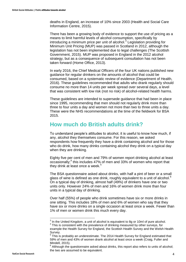deaths in England, an increase of 10% since 2003 (Health and Social Care Information Centre, 2015).

There has been a growing body of evidence to support the use of pricing as a means to limit harmful levels of alcohol consumption, specifically by introducing a minimum price per unit of alcohol.<sup>3</sup> Legislation providing for Minimum Unit Pricing (MUP) was passed in Scotland in 2012, although the legislation has not been implemented due to legal challenges (The Scottish Government, 2015). MUP was proposed in England in the 2012 alcohol strategy, but as a consequence of subsequent consultation has not been taken forward (Home Office, 2013).

In early 2016, the Chief Medical Officers of the four UK nations published new guidance for regular drinkers on the amounts of alcohol that could be consumed, based on a systematic review of evidence (Department of Health, 2016). These guidelines recommended that adults who drank regularly should consume no more than 14 units per week spread over several days, a level that was consistent with low risk (not no risk) of alcohol-related health harms.

These guidelines are intended to supersede guidance that had been in place since 1995, recommending that men should not regularly drink more than three to four units a day and women not more than two to three units a day. These were the NHS recommendations at the time of the fieldwork for BSA 2015.

## **How much do British adults drink?**

To understand people's attitudes to alcohol, it is useful to know how much, if any, alcohol they themselves consume. For this reason, we asked respondents how frequently they have a drink containing alcohol and for those who do drink, how many drinks containing alcohol they drink on a typical day when they are drinking.

Eighty five per cent of men and 79% of women report drinking alcohol at least occasionally; 4 this includes 47% of men and 33% of women who report that they drink at least once a week.<sup>5</sup>

The BSA questionnaire asked about drinks, with half a pint of beer or a small glass of wine is defined as one drink, roughly equivalent to a unit of alcohol. $6$ On a typical day of drinking, almost half (49%) of drinkers have one or two units only. However 24% of men and 16% of women drink more than four units in a typical day of drinking.

Over half (55%) of people who drink sometimes have six or more drinks in one sitting. This includes 18% of men and 6% of women who say that they have six or more drinks on a single occasion at least once a week. Fewer than 1% of men or women drink this much every day.

 3 In the United Kingdom, a unit of alcohol is equivalent to 8g or 10ml of pure alcohol.

<sup>&</sup>lt;sup>4</sup> This is consistent with the prevalence of drinking measured by other surveys, for example the Health Survey for England, the Scottish Health Survey and the Welsh Health Survey.

<sup>5</sup> This is probably an underestimate. The 2014 Health Survey for England estimated that 59% of men and 43% of women drank alcohol at least once a week (Craig, Fuller and Mindell, 2015).

<sup>6</sup> Although the questionnaire asked about drinks, this report also refers to units of alcohol; the two are assumed to be equivalent.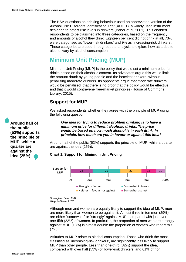The BSA questions on drinking behaviour used an abbreviated version of the Alcohol Use Disorders Identification Test (AUDIT), a widely used instrument designed to detect risk levels in drinkers (Babor et al, 2001). This enabled respondents to be classified into three categories, based on the frequency and amounts of alcohol they drink. Eighteen per cent did not drink at all, 73% were categorised as 'lower-risk drinkers' and 9% as 'increasing-risk drinkers'. These categories are used throughout the analysis to explore how attitudes to alcohol vary by alcohol consumption.

# **Minimum Unit Pricing (MUP)**

Minimum Unit Pricing (MUP) is the policy that would set a minimum price for drinks based on their alcoholic content. Its advocates argue this would limit the amount drunk by young people and the heaviest drinkers, without penalising moderate drinkers. Its opponents argue that moderate drinkers would be penalised, that there is no proof that the policy would be effective and that it would contravene free-market principles (House of Commons Library, 2015).

## **Support for MUP**

We asked respondents whether they agree with the principle of MUP using the following question:

*One idea for trying to reduce problem drinking is to have a minimum price for different alcoholic drinks. The price would be based on how much alcohol is in each drink. In principle, how much are you in favour or against this idea?* 

Around half of the public (52%) supports the principle of MUP, while a quarter are against the idea (25%).

#### **Chart 1. Support for Minimum Unit Pricing**



*Unweighted base: 2161 Weighted base: 2157*

Although men and women are equally likely to support the idea of MUP, men are more likely than women to be against it. Almost three in ten men (29%) are either "somewhat" or "strongly" against MUP, compared with just over one-fifth (22%) of women. In particular, the proportion of men who are strongly against MUP (13%) is almost double the proportion of women who report this (7%).

Attitudes to MUP relate to alcohol consumption. Those who drink the most, classified as 'increasing-risk drinkers', are significantly less likely to support MUP than other people. Less than one-third (32%) support the idea, compared with over half (53%) of 'lower-risk drinkers' and 61% of non

**Around half of the public (52%) supports the principle of MUP, while a quarter are against the idea (25%)**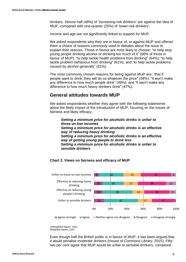drinkers. Almost half (48%) of 'increasing-risk drinkers' are against the idea of MUP, compared with one-quarter (25%) of 'lower-risk drinkers'.

Income and age are not significantly linked to support for MUP.

We asked respondents why they are in favour of, or against MUP and offered them a choice of reasons commonly used in debates about the issue to explain their stances. Those in favour are most likely to choose: "to help stop young people drinking alcohol or drinking too much of it" (66% of those in favour of MUP); "to help tackle health problems from drinking" (64%); "to help tackle problem behaviour from drinking" (61%); and "to help tackle problems caused by alcohol generally" (61%).

The most commonly chosen reasons for being against MUP are: "that if people want to drink, they will do so whatever the price" (59%); "it won't make any difference to how much people drink" (49%); and "it won't make any difference to how much heavy drinkers drink" (47%).

#### **General attitudes towards MUP**

We asked respondents whether they agree with the following statements about the likely impact of the introduction of MUP, focusing on the issues of fairness and likely efficacy:

*Setting a minimum price for alcoholic drinks is unfair to those on low incomes Setting a minimum price for alcoholic drinks is an effective way of reducing heavy drinking Setting a minimum price for alcoholic drinks is an effective way of getting young people to drink less Setting a minimum price for alcoholic drinks is unfair to sensible drinkers*



#### **Chart 2. Views on fairness and efficacy of MUP**

*Unweighted bases: 2161 Weighted bases: 2157*

Even though half the British public is in favour of MUP, it has been argued that it would penalise moderate drinkers (House of Commons Library, 2015). Fiftytwo per cent agree that MUP would be unfair to sensible drinkers, compared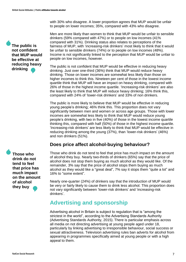with 30% who disagree. A lower proportion agrees that MUP would be unfair to people on lower incomes; 35%, compared with 43% who disagree.

Men are more likely than women to think that MUP would be unfair to sensible drinkers (59% compared with 47%) or to people on low incomes (41% compared with 31%). Drinking status also relates to perceptions of the fairness of MUP, with 'increasing-risk drinkers' most likely to think that it would be unfair to sensible drinkers (74%) or to people on low incomes (48%). Income is not significantly linked to the perception that MUP would be unfair to people on low incomes, however.

The public is not confident that MUP would be effective in reducing heavy drinking. Just over one-third (36%) think that MUP would reduce heavy drinking. Those on lower incomes are somewhat less likely than those on higher incomes to think this. Nineteen per cent of those in the lowest income quartile think that MUP will have an impact on heavy drinking, compared with 26% of those in the highest income quartile. 'Increasing-risk drinkers' are also the least likely to think that MUP will reduce heavy drinking; 16% think this, compared with 24% of 'lower-risk drinkers' and 33% of non drinkers.

The public is more likely to believe that MUP would be effective in reducing young people's drinking; 46% think this. This proportion does not vary significantly between men and women or across age groups. Those with lower incomes are somewhat less likely to think that MUP would reduce young people's drinking, with two in five (40%) of those in the lowest income quartile thinking this, compared with half (50%) of those in the highest income quartile. 'Increasing-risk drinkers' are less likely to think that MUP would be effective in reducing drinking among the young (37%), than 'lower-risk drinkers' (46%) and non drinkers (51%).

## **Does price affect alcohol-buying behaviour?**

Those who drink do not tend to feel that price has much impact on the amount of alcohol they buy. Nearly two-thirds of drinkers (65%) say that the price of alcohol does not stop them buying as much alcohol as they would like. Of the remainder, 3% say that the price of alcohol stops them buying as much alcohol as they would like a "great deal", 7% say it stops them "quite a lot" and 16% to "some extent".

Nearly one-quarter (24%) of drinkers say that the introduction of MUP would be very or fairly likely to cause them to drink less alcohol. This proportion does not vary significantly between 'lower-risk drinkers' and 'increasing-risk drinkers'.

# **Advertising and sponsorship**

Advertising alcohol in Britain is subject to regulation that is "among the strictest in the world", according to the Advertising Standards Authority (Advertising Standards Authority, 2015). There is particular emphasis across all media on not directing advertising at young people aged under 18, particularly by linking advertising to irresponsible behaviour, social success or sexual attractiveness. Television advertising rules ban adverts for alcohol from appearing in programmes specifically aimed at young people or with a high appeal to them.

**The public is not confident that MUP would be effective at reducing heavy drinking**

**Those who drink do not tend to feel that price has much impact on the amount of alcohol they buy**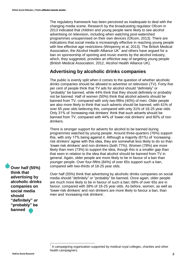The regulatory framework has been perceived as inadequate to deal with the changing media scene. Research by the broadcasting regulator Ofcom in 2013 indicated that children and young people were likely to see alcohol advertising on television, including when watching post-watershed programmes unsupervised on their own devices (Ofcom, 2013). There are indications that social media is increasingly effective in reaching young people with few effective age restrictions (Winpenny et al, 2013). The British Medical Association, the Alcohol Health Alliance UK $^7$  and others have argued for a ban on sponsorship of sporting and music events by the alcohol industry, which, they suggested, provides an effective way of targeting young people (British Medical Association, 2012, Alcohol Health Alliance UK).

#### **Advertising by alcoholic drinks companies**

The public is evenly split when it comes to the question of whether alcoholic drinks companies should be allowed to advertise on television (TV). Forty-five per cent of people think that TV ads for alcohol should "definitely" or "probably" be banned, while 44% think that they should definitely or probably not be banned. Half of women (50%) think that alcohol adverts should be banned from TV, compared with only two-fifths (40%) of men. Older people are also more likely to think that such adverts should be banned, with 61% of over 65 year olds believing this, compared with only 31% of 18-25 year olds. Only 31% of 'increasing-risk drinkers' think that such adverts should be banned from TV, compared with 44% of 'lower-risk drinkers' and 60% of non drinkers.

There is stronger support for adverts for alcohol to be banned during programmes watched by young people. Around three-quarters (76%) support this, with only 17% being against it. Although a majority (61%) of 'increasingrisk drinkers' agree with this idea, they are somewhat less likely to do so than 'lower-risk drinkers' and non drinkers (both 77%). Women (78%) are more likely than men (73%) to support the idea, though this is a smaller gap than that seen in relation to the idea that alcohol should be banned from TV in general. Again, older people are more likely to be in favour of a ban than younger people. Over four-fifths (84%) of over 65s support such a ban, compared with two-thirds of 18-25 year olds.

**Over half (55%) think that advertising by alcoholic drinks companies on social media should "definitely" or "probably" be banned**

Over half (55%) think that advertising by alcoholic drinks companies on social media should "definitely" or "probably" be banned. Once again, older people are much more likely to be in favour of such a ban; 68% of over 65s are in favour, compared with 38% of 18-25 year olds. As before, women, as well as 'lower-risk drinkers' and non drinkers are more likely to favour a ban, than men and 'increasing-risk drinkers'.

<sup>————————————————————&</sup>lt;br><sup>7</sup> A campaigning organization supported by medical royal colleges, charities and other health campaigners.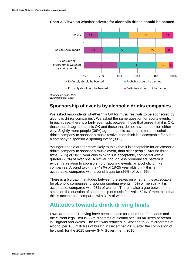

#### **Chart 3. Views on whether adverts for alcoholic drinks should be banned**

#### **Sponsorship of events by alcoholic drinks companies**

We asked respondents whether "it's OK for music festivals to be sponsored by alcoholic drinks companies". We asked the same question for sports events. In each case, there is a fairly even split between those that agree that it is OK, those that disagree that it is OK and those that do not have an opinion either way. Slightly more people (36%) agree that it is acceptable for an alcoholic drinks company to sponsor a music festival than think it is acceptable for such a company to sponsor a sporting event (30%).

Younger people are far more likely to think that it is acceptable for an alcoholic drinks company to sponsor a music event, than older people. Around threefifths (61%) of 18-25 year olds think this is acceptable, compared with a quarter (25%) of over 65s. A similar, though less pronounced, pattern is evident in relation to sponsorship of sporting events by alcoholic drinks companies. Around two-fifths (42%) of 18-25 year olds think this is acceptable, compared with around a quarter (26%) of over 65s.

There is a big gap in attitudes between the sexes on whether it is acceptable for alcoholic companies to sponsor sporting events; 45% of men think it is acceptable, compared with 23% of women. There is also a gap between the sexes on the question of sponsorship of music festivals; 52% of men think that this is acceptable, compared with 31% of women.

## **Attitudes towards drink-driving limits**

Laws around drink-driving have been in place for a number of decades and the current legal limit is 35 micrograms of alcohol per 100 millilitres of breath in England and Wales. The limit was reduced in Scotland to 22 micrograms of alcohol per 100 millilitres of breath in December 2014, after the completion of fieldwork for the 2015 survey (HM Government, 2015).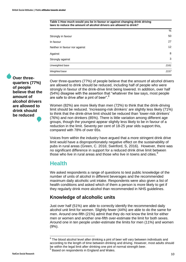**Table 1 How much would you be in favour or against changing drink driving laws to reduce the amount of alcohol drivers are allowed to drink?**

|                               | %               |
|-------------------------------|-----------------|
| Strongly in favour            | 50              |
| In favour                     | 27              |
| Neither in favour nor against | 12 <sup>2</sup> |
| Against                       | 8               |
| Strongly against              | 3               |
| Unweighted base               | 2161            |
| Weighted base                 | 2157            |

**Over threequarters (77%) of people believe that the amount of alcohol drivers are allowed to drink should be reduced**

Over three-quarters (77%) of people believe that the amount of alcohol drivers are allowed to drink should be reduced, including half of people who were strongly in favour of the drink-drive limit being lowered. In addition, over half (54%) disagree with the assertion that "whatever the law says, most people are safe to drive after a pint of beer".<sup>8</sup>

Women (82%) are more likely than men (72%) to think that the drink-driving limit should be reduced. 'Increasing-risk drinkers' are slightly less likely (71%) to think that the drink-drive limit should be reduced than 'lower-risk drinkers' (76%) and non drinkers (85%). There is little variation among different age groups, though the youngest appear slightly less likely to be in favour of a reduction in the limit. Seventy per cent of 18-25 year olds support this, compared with 78% of over 65s.

Voices from within the industry have argued that a more stringent drink drive limit would have a disproportionately negative effect on the sustainability of pubs in rural areas (Green, C. 2016; Swinford, S, 2016). However, there was no significant difference in support for a reduced drink drive limit between those who live in rural areas and those who live in towns and cities.<sup>9</sup>

## **Health**

We asked respondents a range of questions to test public knowledge of the number of units of alcohol in different beverages and the recommended maximum daily alcoholic unit intake. Respondents were also given a list of health conditions and asked which of them a person is more likely to get if they regularly drink more alcohol than recommended in NHS guidelines.

## **Knowledge of alcoholic units**

Just over half (51%) are able to correctly identify the recommended daily alcohol unit limit for women. Slightly fewer (44%) are able to do the same for men. Around one-fifth (21%) admit that they do not know the limit for either men or women and another one-fifth over-estimate the limit for both sexes. Around one in ten people under-estimate the limits for men (11%) and women (9%).

<sup>9</sup> Based on respondents in England and Wales.

 8 The blood alcohol level after drinking a pint of beer will vary between individuals and according to the length of time between drinking and driving. However, most adults should be within the legal limit after drinking one pint of normal strength beer.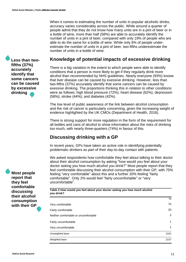When it comes to estimating the number of units in popular alcoholic drinks, accuracy varies considerably across the public. While around a quarter of people admit that they do not know how many units are in a pint of beer or in a bottle of wine, more than half (58%) are able to accurately identify the number of units in a pint of beer, compared with only 19% of people who are able to do the same for a bottle of wine. While only 6% of people underestimate the number of units in a pint of beer, two-fifths underestimate the number of units in a bottle of wine.

#### **Knowledge of potential impacts of excessive drinking**

There is a big variation in the extent to which people were able to identify conditions that a person is more likely to get if they regularly drink more alcohol than recommended by NHS guidelines. Nearly everyone (93%) knows that liver disease can be caused by exessive drinking. However, less than two-fifths (37%) accurately identify that some cancers can be caused by exessive drinking. The proportions thinking this in relation to other conditions were as follows: high blood pressure (72%); heart disease (62%); depression (58%); stroke (44%); and diabetes (42%).

The low level of public awareness of the link between alcohol consumption and the risk of cancer is particularly concerning, given the increasing weight of evidence highlighted by the UK CMOs (Department of Health, 2016).

There is strong support for more regulation in the form of the requirement for all bottles and cans of alcohol to show information about the risks of drinking too much, with nearly three-quarters (74%) in favour of this.

## **Discussing drinking with a GP**

In recent years, GPs have taken an active role in identifying potentially problematic drinkers as part of their day-to-day contact with patients.

We asked respondents how comfortable they feel about talking to their doctor about their alcohol consumption by asking "how would you feel about your doctor asking you how much alcohol you drink?" Most people report that they feel comfortable discussing their alcohol consumption with their GP, with 75% feeling "very comfortable" about this and a further 20% feeling "fairly comfortable". Only 2% would feel "fairly uncomfortable" or "very uncomfortable".

**Table 2 How would you feel about your doctor asking you how much alcohol you drink?**

|                                      | 70   |
|--------------------------------------|------|
| Very comfortable                     | 75   |
| Fairly comfortable                   | 20   |
| Neither comfortable or uncomfortable | 3    |
| Fairly uncomfortable                 | 1    |
| Very uncomfortable                   | 1    |
| Unweighted base                      | 2161 |
| Weighted base                        | 2157 |

**Less than twofifths (37%) accurately identify that some cancers can be caused by excessive drinking**

**Most people report that they feel comfortable discussing their alcohol consumption with their GP**

 $\overline{\phantom{a}}$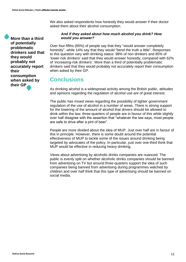We also asked respondents how honestly they would answer if their doctor asked them about their alcohol consumption.

**More than a third of potentially problematic drinkers said that they would probably not accurately report their consumption when asked by their GP**

#### *And if they asked about how much alcohol you drink? How would you answer?*

Over four-fifths (85%) of people say that they "would answer completely honestly", while 14% say that they would "bend the truth a little". Responses to this question vary with drinking status: 98% of non drinkers and 85% of 'lower-risk drinkers' said that they would answer honestly, compared with 62% of 'increasing-risk drinkers'. More than a third of potentially problematic drinkers said that they would probably not accurately report their consumption when asked by their GP.

# **Conclusions**

As drinking alcohol is a widespread activity among the British public, attitudes and opinions regarding the regulation of alcohol use are of great interest.

The public has mixed views regarding the possibility of tighter government regulation of the use of alcohol in a number of areas. There is strong support for the lowering of the amount of alcohol that drivers should be allowed to drink within the law; three-quarters of people are in favour of this while slightly over half disagree with the assertion that "whatever the law says, most people are safe to drive after a pint of beer".

People are more divided about the idea of MUP. Just over half are in favour of this in principle. However, there is some doubt around the potential effectiveness of MUP to tackle some of the issues around drinking being targeted by advocates of the policy. In particular, just over one-third think that MUP would be effective in reducing heavy drinking.

Views about advertising by alcoholic drinks companies are nuanced. The public is evenly split on whether alcoholic drinks companies should be banned from advertising on TV but around three-quarters support the idea of such companies being banned from advertising during programmes watched by children and over half think that this type of advertising should be banned on social media.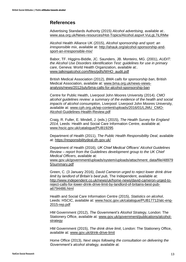#### **References**

Advertising Standards Authority (2015) *Alcohol advertising,* available at:. [www.asa.org.uk/News-resources/Hot-Topics/Alcohol.aspx#.VuLgL7iLRMw](http://www.asa.org.uk/News-resources/Hot-Topics/Alcohol.aspx#.VuLgL7iLRMw)

Alcohol Health Alliance UK (2015), *Alcohol sponsorship and sport: an irresponsible mix*, available at: [http://ahauk.org/alcohol-sponsorship-and](http://ahauk.org/alcohol-sponsorship-and-sport-an-irresponsible-mix/)[sport-an-irresponsible-mix/](http://ahauk.org/alcohol-sponsorship-and-sport-an-irresponsible-mix/)

Babor, TF. Higgins-Biddle, JC. Saunders, JB. Monteiro, MG. (2001), *AUDIT: the Alcohol Use Disorders Identification Test: guidelines for use in primary care,* Geneva: World Health Organization, available at:. [www.talkingalcohol.com/files/pdfs/WHO\\_audit.pdf](http://www.talkingalcohol.com/files/pdfs/WHO_audit.pdf)

British Medical Association (2012), *BMA calls for sponsorship ban*, British Medical Association, available at: [www.bma.org.uk/news-views](file:///C:/Users/Alyson.Jones/AppData/Local/Microsoft/Windows/Temporary%20Internet%20Files/Content.Outlook/R1O7Z896/www.bma.org.uk/news-views-analysis/news/2012/july/bma-calls-for-alcohol-sponsorship-ban)[analysis/news/2012/july/bma-calls-for-alcohol-sponsorship-ban](file:///C:/Users/Alyson.Jones/AppData/Local/Microsoft/Windows/Temporary%20Internet%20Files/Content.Outlook/R1O7Z896/www.bma.org.uk/news-views-analysis/news/2012/july/bma-calls-for-alcohol-sponsorship-ban)

Centre for Public Health, Liverpool John Moores University (2014). *CMO alcohol guidelines review: a summary of the evidence of the health and social impacts of alcohol consumption,* Liverpool: Liverpool John Moores University, available at: [www.cph.org.uk/wp-content/uploads/2016/01/LJMU\\_CMO-](http://www.cph.org.uk/wp-content/uploads/2016/01/LJMU_CMO-Alcohol-Guidelines-Health-Review.pdf)[Alcohol-Guidelines-Health-Review.pdf](http://www.cph.org.uk/wp-content/uploads/2016/01/LJMU_CMO-Alcohol-Guidelines-Health-Review.pdf)

Craig, R. Fuller, E. Mindell, J. (eds.) (2015), *The Health Survey for England 2014,* Leeds: Health and Social Care Information Centre, available at: [www.hscic.gov.uk/catalogue/PUB19295](file:///C:/Users/Alyson.Jones/AppData/Local/Microsoft/Windows/Temporary%20Internet%20Files/Content.Outlook/R1O7Z896/www.hscic.gov.uk/catalogue/PUB19295)

Department of Health (2011), *The Public Health Responsibility Deal*, available at: <https://responsibilitydeal.dh.gov.uk/>

Department of Health (2016), *UK Chief Medical Officers' Alcohol Guidelines Review – report from the Guidelines development group to the UK Chief Medical Officers*, available at: [www.gov.uk/government/uploads/system/uploads/attachment\\_data/file/48979](file:///C:/Users/Alyson.Jones/AppData/Local/Microsoft/Windows/Temporary%20Internet%20Files/Content.Outlook/R1O7Z896/www.gov.uk/government/uploads/system/uploads/attachment_data/file/489795/summary.pdf) [5/summary.pdf](file:///C:/Users/Alyson.Jones/AppData/Local/Microsoft/Windows/Temporary%20Internet%20Files/Content.Outlook/R1O7Z896/www.gov.uk/government/uploads/system/uploads/attachment_data/file/489795/summary.pdf)

Green, C. (3 January 2016), *David Cameron urged to reject lower drink drive limit by landlord of Britain's best pub*, The Independent, available at: [http://www.independent.co.uk/news/uk/home-news/david-cameron-urged-to](http://www.independent.co.uk/news/uk/home-news/david-cameron-urged-to-reject-calls-for-lower-drink-drive-limit-by-landlord-of-britains-best-pub-a6794486.html)[reject-calls-for-lower-drink-drive-limit-by-landlord-of-britains-best-pub](http://www.independent.co.uk/news/uk/home-news/david-cameron-urged-to-reject-calls-for-lower-drink-drive-limit-by-landlord-of-britains-best-pub-a6794486.html)[a6794486.html](http://www.independent.co.uk/news/uk/home-news/david-cameron-urged-to-reject-calls-for-lower-drink-drive-limit-by-landlord-of-britains-best-pub-a6794486.html)

Health and Social Care Information Centre (2015), *Statistics on alcohol*, Leeds: HSCIC, available at: [www.hscic.gov.uk/catalogue/PUB17712/alc-eng-](file:///C:/Users/Alyson.Jones/AppData/Local/Microsoft/Windows/Temporary%20Internet%20Files/Content.Outlook/R1O7Z896/www.hscic.gov.uk/catalogue/PUB17712/alc-eng-2015-rep.pdf)[2015-rep.pdf](file:///C:/Users/Alyson.Jones/AppData/Local/Microsoft/Windows/Temporary%20Internet%20Files/Content.Outlook/R1O7Z896/www.hscic.gov.uk/catalogue/PUB17712/alc-eng-2015-rep.pdf)

HM Government (2012), *The Government's Alcohol Strateg*y, London: The Stationery Office, available at: [www.gov.uk/government/publications/alcohol](http://www.gov.uk/government/publications/alcohol-strategy)[strategy](http://www.gov.uk/government/publications/alcohol-strategy)

HM Government (2015), *The drink drive limit*, London: The Stationery Office, available at: [www.gov.uk/drink-drive-limit](file:///C:/Users/Alyson.Jones/AppData/Local/Microsoft/Windows/Temporary%20Internet%20Files/Content.Outlook/R1O7Z896/www.gov.uk/drink-drive-limit)

Home Office (2013), *Next steps following the consultation on delivering the Government's alcohol strategy,* available at: